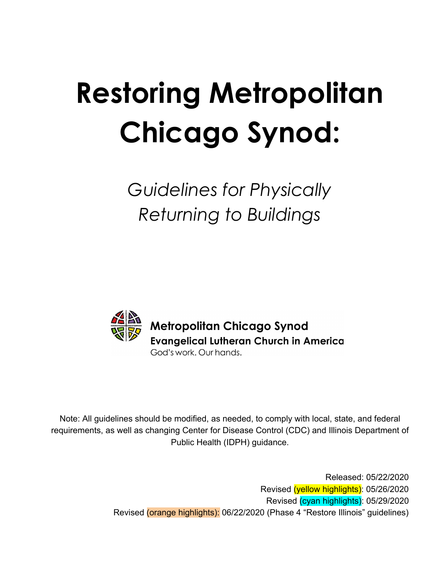# **Restoring Metropolitan Chicago Synod:**

*Guidelines for Physically Returning to Buildings*



Note: All guidelines should be modified, as needed, to comply with local, state, and federal requirements, as well as changing Center for Disease Control (CDC) and Illinois Department of Public Health (IDPH) guidance.

> Released: 05/22/2020 Revised (yellow highlights): 05/26/2020 Revised (cyan highlights): 05/29/2020 Revised (orange highlights): 06/22/2020 (Phase 4 "Restore Illinois" guidelines)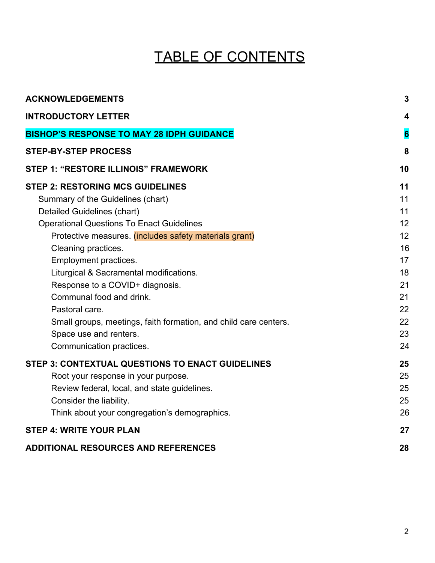### TABLE OF CONTENTS

| <b>ACKNOWLEDGEMENTS</b>                                          | $\mathbf{3}$            |
|------------------------------------------------------------------|-------------------------|
| <b>INTRODUCTORY LETTER</b>                                       | $\overline{\mathbf{4}}$ |
| <b>BISHOP'S RESPONSE TO MAY 28 IDPH GUIDANCE</b>                 | $6\phantom{a}$          |
| <b>STEP-BY-STEP PROCESS</b>                                      | 8                       |
| <b>STEP 1: "RESTORE ILLINOIS" FRAMEWORK</b>                      | 10                      |
| <b>STEP 2: RESTORING MCS GUIDELINES</b>                          | 11                      |
| Summary of the Guidelines (chart)                                | 11                      |
| Detailed Guidelines (chart)                                      | 11                      |
| <b>Operational Questions To Enact Guidelines</b>                 | 12                      |
| Protective measures. (includes safety materials grant)           | 12                      |
| Cleaning practices.                                              | 16                      |
| Employment practices.                                            | 17                      |
| Liturgical & Sacramental modifications.                          | 18                      |
| Response to a COVID+ diagnosis.                                  | 21                      |
| Communal food and drink.                                         | 21                      |
| Pastoral care.                                                   | 22                      |
| Small groups, meetings, faith formation, and child care centers. | 22                      |
| Space use and renters.                                           | 23                      |
| Communication practices.                                         | 24                      |
| <b>STEP 3: CONTEXTUAL QUESTIONS TO ENACT GUIDELINES</b>          | 25                      |
| Root your response in your purpose.                              | 25                      |
| Review federal, local, and state guidelines.                     | 25                      |
| Consider the liability.                                          | 25                      |
| Think about your congregation's demographics.                    | 26                      |
| <b>STEP 4: WRITE YOUR PLAN</b>                                   | 27                      |
| <b>ADDITIONAL RESOURCES AND REFERENCES</b>                       | 28                      |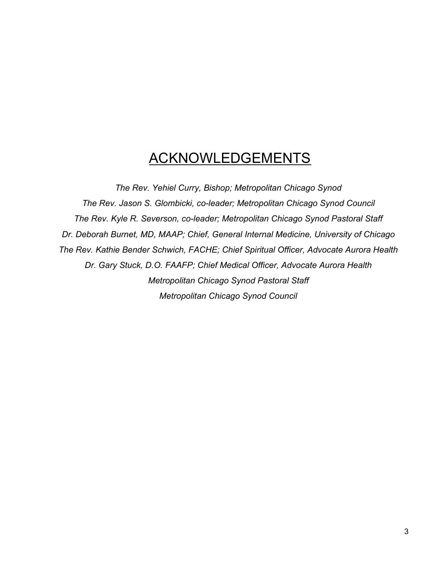### ACKNOWLEDGEMENTS

<span id="page-2-0"></span>*The Rev. Yehiel Curry, Bishop; Metropolitan Chicago Synod The Rev. Jason S. Glombicki, co-leader; Metropolitan Chicago Synod Council The Rev. Kyle R. Severson, co-leader; Metropolitan Chicago Synod Pastoral Staff Dr. Deborah Burnet, MD, MAAP; Chief, General Internal Medicine, University of Chicago The Rev. Kathie Bender Schwich, FACHE; Chief Spiritual Officer, Advocate Aurora Health Dr. Gary Stuck, D.O. FAAFP; Chief Medical Officer, Advocate Aurora Health Metropolitan Chicago Synod Pastoral Staff Metropolitan Chicago Synod Council*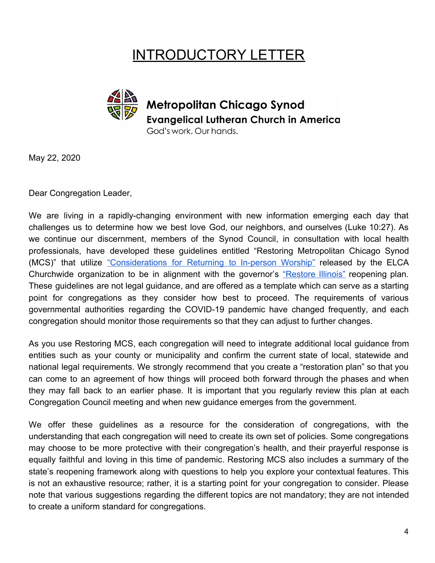### INTRODUCTORY LETTER

<span id="page-3-0"></span>

May 22, 2020

Dear Congregation Leader,

We are living in a rapidly-changing environment with new information emerging each day that challenges us to determine how we best love God, our neighbors, and ourselves (Luke 10:27). As we continue our discernment, members of the Synod Council, in consultation with local health professionals, have developed these guidelines entitled "Restoring Metropolitan Chicago Synod (MCS)" that utilize ["Considerations](https://download.elca.org/ELCA%20Resource%20Repository/Returning_to_In-person_Worship.pdf?_ga=2.227742621.1239640636.1590000367-1491195128.1571427587&_gac=1.245549616.1587147246.EAIaIQobChMI-fnvm4jw6AIVPyqzAB2O5AEBEAAYASAAEgL5J_D_BwE) for Returning to In-person Worship" released by the ELCA Churchwide organization to be in alignment with the governor's ["Restore](https://coronavirus.illinois.gov/sfc/servlet.shepherd/document/download/069t000000BadS0AAJ?operationContext=S1) Illinois" reopening plan. These guidelines are not legal guidance, and are offered as a template which can serve as a starting point for congregations as they consider how best to proceed. The requirements of various governmental authorities regarding the COVID-19 pandemic have changed frequently, and each congregation should monitor those requirements so that they can adjust to further changes.

As you use Restoring MCS, each congregation will need to integrate additional local guidance from entities such as your county or municipality and confirm the current state of local, statewide and national legal requirements. We strongly recommend that you create a "restoration plan" so that you can come to an agreement of how things will proceed both forward through the phases and when they may fall back to an earlier phase. It is important that you regularly review this plan at each Congregation Council meeting and when new guidance emerges from the government.

We offer these guidelines as a resource for the consideration of congregations, with the understanding that each congregation will need to create its own set of policies. Some congregations may choose to be more protective with their congregation's health, and their prayerful response is equally faithful and loving in this time of pandemic. Restoring MCS also includes a summary of the state's reopening framework along with questions to help you explore your contextual features. This is not an exhaustive resource; rather, it is a starting point for your congregation to consider. Please note that various suggestions regarding the different topics are not mandatory; they are not intended to create a uniform standard for congregations.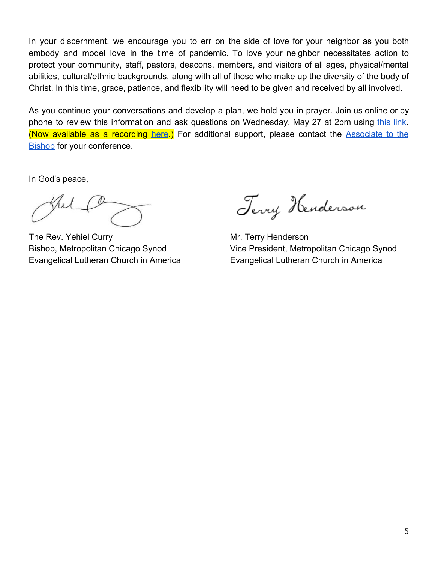In your discernment, we encourage you to err on the side of love for your neighbor as you both embody and model love in the time of pandemic. To love your neighbor necessitates action to protect your community, staff, pastors, deacons, members, and visitors of all ages, physical/mental abilities, cultural/ethnic backgrounds, along with all of those who make up the diversity of the body of Christ. In this time, grace, patience, and flexibility will need to be given and received by all involved.

As you continue your conversations and develop a plan, we hold you in prayer. Join us online or by phone to review this information and ask questions on Wednesday, May 27 at 2pm using [this](https://docs.google.com/document/d/1m0mf3MNrbqUe7l_WJX9KiveOXSYmfkQ1b3DIpzSQSx4/edit?usp=sharing) link. (Now available as a recording [here](https://www.youtube.com/watch?v=3TfG3uOFeDo).) For additional support, please contact the [Associate](http://www.mcselca.org/who/staff/index.php) to the [Bishop](http://www.mcselca.org/who/staff/index.php) for your conference.

In God's peace,

The Rev. Yehiel Curry Mr. Terry Henderson

Terry Henderson

Bishop, Metropolitan Chicago Synod Vice President, Metropolitan Chicago Synod Evangelical Lutheran Church in America Evangelical Lutheran Church in America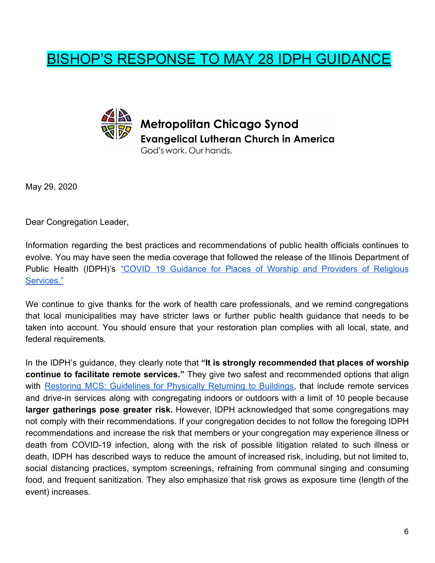### <span id="page-5-0"></span>BISHOP'S RESPONSE TO MAY 28 IDPH GUIDANCE



May 29, 2020

Dear Congregation Leader,

Information regarding the best practices and recommendations of public health officials continues to evolve. You may have seen the media coverage that followed the release of the Illinois Department of Public Health (IDPH)'s "COVID 19 [Guidance](https://www.dph.illinois.gov/covid19/community-guidance/places-worship-guidance) for Places of Worship and Providers of Religious [Services."](https://www.dph.illinois.gov/covid19/community-guidance/places-worship-guidance)

We continue to give thanks for the work of health care professionals, and we remind congregations that local municipalities may have stricter laws or further public health guidance that needs to be taken into account. You should ensure that your restoration plan complies with all local, state, and federal requirements.

In the IDPH's guidance, they clearly note that **"It is strongly recommended that places of worship continue to facilitate remote services."** They give two safest and recommended options that align with Restoring MCS: [Guidelines](https://docs.google.com/document/d/1eHUziEc1nN3rZXR0nFjFqynG4BKE_0gghFdIql1_Gwk/edit?usp=sharing) for Physically Returning to Buildings, that include remote services and drive-in services along with congregating indoors or outdoors with a limit of 10 people because **larger gatherings pose greater risk.** However, IDPH acknowledged that some congregations may not comply with their recommendations. If your congregation decides to not follow the foregoing IDPH recommendations and increase the risk that members or your congregation may experience illness or death from COVID-19 infection, along with the risk of possible litigation related to such illness or death, IDPH has described ways to reduce the amount of increased risk, including, but not limited to, social distancing practices, symptom screenings, refraining from communal singing and consuming food, and frequent sanitization. They also emphasize that risk grows as exposure time (length of the event) increases.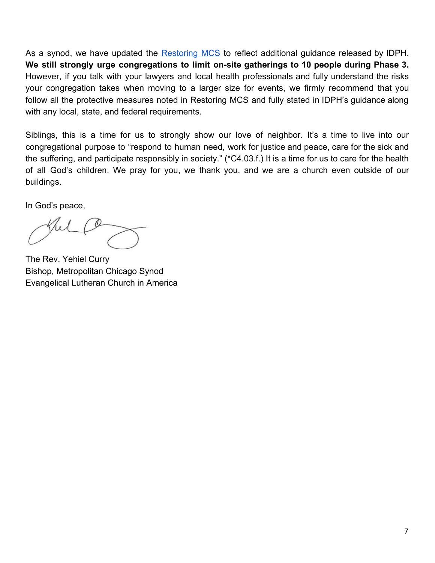As a synod, we have updated the [Restoring](https://docs.google.com/document/d/1eHUziEc1nN3rZXR0nFjFqynG4BKE_0gghFdIql1_Gwk/edit?usp=sharing) MCS to reflect additional guidance released by IDPH. **We still strongly urge congregations to limit on-site gatherings to 10 people during Phase 3.** However, if you talk with your lawyers and local health professionals and fully understand the risks your congregation takes when moving to a larger size for events, we firmly recommend that you follow all the protective measures noted in Restoring MCS and fully stated in IDPH's guidance along with any local, state, and federal requirements.

Siblings, this is a time for us to strongly show our love of neighbor. It's a time to live into our congregational purpose to "respond to human need, work for justice and peace, care for the sick and the suffering, and participate responsibly in society." (\*C4.03.f.) It is a time for us to care for the health of all God's children. We pray for you, we thank you, and we are a church even outside of our buildings.

In God's peace,

The Rev. Yehiel Curry Bishop, Metropolitan Chicago Synod Evangelical Lutheran Church in America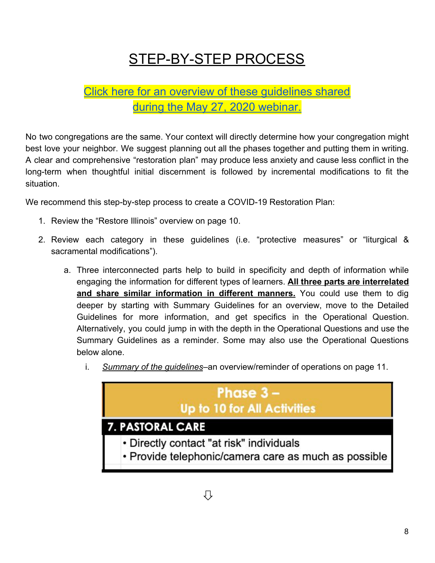# STEP-BY-STEP PROCESS

### <span id="page-7-0"></span>Click here for an overview of these [guidelines](https://www.youtube.com/watch?v=3TfG3uOFeDo) shared during the May 27, 2020 [webinar.](https://www.youtube.com/watch?v=3TfG3uOFeDo)

No two congregations are the same. Your context will directly determine how your congregation might best love your neighbor. We suggest planning out all the phases together and putting them in writing. A clear and comprehensive "restoration plan" may produce less anxiety and cause less conflict in the long-term when thoughtful initial discernment is followed by incremental modifications to fit the situation.

We recommend this step-by-step process to create a COVID-19 Restoration Plan:

- 1. Review the "Restore Illinois" overview on page 10.
- 2. Review each category in these guidelines (i.e. "protective measures" or "liturgical & sacramental modifications").
	- a. Three interconnected parts help to build in specificity and depth of information while engaging the information for different types of learners. **All three parts are interrelated and share similar information in different manners.** You could use them to dig deeper by starting with Summary Guidelines for an overview, move to the Detailed Guidelines for more information, and get specifics in the Operational Question. Alternatively, you could jump in with the depth in the Operational Questions and use the Summary Guidelines as a reminder. Some may also use the Operational Questions below alone.
		- i. *Summary of the guidelines*–an overview/reminder of operations on page 11.

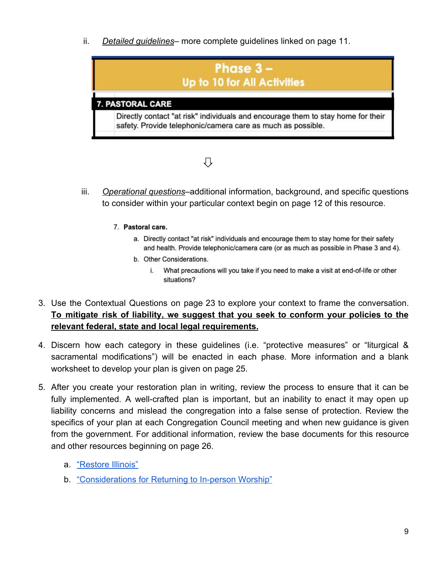ii. *Detailed guidelines*– more complete guidelines linked on page 11.



# ⇩

- iii. *Operational questions*–additional information, background, and specific questions to consider within your particular context begin on page 12 of this resource.
	- 7. Pastoral care.
		- a. Directly contact "at risk" individuals and encourage them to stay home for their safety and health. Provide telephonic/camera care (or as much as possible in Phase 3 and 4).
		- b. Other Considerations.
			- i. What precautions will you take if you need to make a visit at end-of-life or other situations?
- 3. Use the Contextual Questions on page 23 to explore your context to frame the conversation. **To mitigate risk of liability, we suggest that you seek to conform your policies to the relevant federal, state and local legal requirements.**
- 4. Discern how each category in these guidelines (i.e. "protective measures" or "liturgical & sacramental modifications") will be enacted in each phase. More information and a blank worksheet to develop your plan is given on page 25.
- 5. After you create your restoration plan in writing, review the process to ensure that it can be fully implemented. A well-crafted plan is important, but an inability to enact it may open up liability concerns and mislead the congregation into a false sense of protection. Review the specifics of your plan at each Congregation Council meeting and when new guidance is given from the government. For additional information, review the base documents for this resource and other resources beginning on page 26.
	- a. ["Restore Illinois"](https://coronavirus.illinois.gov/sfc/servlet.shepherd/document/download/069t000000BadS0AAJ?operationContext=S1)
	- b. ["Considerations for Returning to In-person Worship"](https://download.elca.org/ELCA%20Resource%20Repository/returning-to%20In-person-worship.pdf?_ga=2.227543579.780827715.1589213754-728689598.1586788132&_gac=1.25032392.1588610844.Cj0KCQjw-r71BRDuARIsAB7i_QMXYBJjygEI_aSm-buQ5sCnyZWE_0VnytVJUdhnunmE6jN5Cg2_kJsaAjo5EALw_wcB)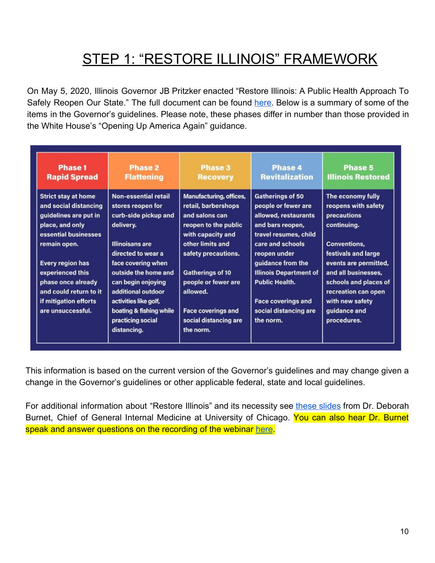### STEP 1: "RESTORE ILLINOIS" FRAMEWORK

<span id="page-9-0"></span>On May 5, 2020, Illinois Governor JB Pritzker enacted "Restore Illinois: A Public Health Approach To Safely Reopen Our State." The full document can be found [here](https://coronavirus.illinois.gov/sfc/servlet.shepherd/document/download/069t000000BadS0AAJ?operationContext=S1). Below is a summary of some of the items in the Governor's guidelines. Please note, these phases differ in number than those provided in the White House's "Opening Up America Again" guidance.

| <b>Phase 1</b><br><b>Rapid Spread</b>                                                                                                   | <b>Phase 2</b><br><b>Flattening</b>                                                                             | <b>Phase 3</b><br><b>Recovery</b>                                                                                                 | Phase 4<br><b>Revitalization</b>                                                                                                        | Phase 5<br><b>Illinois Restored</b>                                                                                 |
|-----------------------------------------------------------------------------------------------------------------------------------------|-----------------------------------------------------------------------------------------------------------------|-----------------------------------------------------------------------------------------------------------------------------------|-----------------------------------------------------------------------------------------------------------------------------------------|---------------------------------------------------------------------------------------------------------------------|
| <b>Strict stay at home</b><br>and social distancing<br>guidelines are put in<br>place, and only<br>essential businesses<br>remain open. | <b>Non-essential retail</b><br>stores reopen for<br>curb-side pickup and<br>delivery.<br><b>Illinoisans are</b> | Manufacturing, offices,<br>retail, barbershops<br>and salons can<br>reopen to the public<br>with capacity and<br>other limits and | <b>Gatherings of 50</b><br>people or fewer are<br>allowed, restaurants<br>and bars reopen,<br>travel resumes, child<br>care and schools | The economy fully<br>reopens with safety<br>precautions<br>continuing.<br><b>Conventions,</b>                       |
| Every region has<br>experienced this<br>phase once already<br>and could return to it                                                    | directed to wear a<br>face covering when<br>outside the home and<br>can begin enjoying<br>additional outdoor    | safety precautions.<br><b>Gatherings of 10</b><br>people or fewer are<br>allowed.                                                 | reopen under<br>guidance from the<br><b>Illinois Department of</b><br><b>Public Health.</b>                                             | festivals and large<br>events are permitted,<br>and all businesses,<br>schools and places of<br>recreation can open |
| if mitigation efforts<br>are unsuccessful.                                                                                              | activities like golf,<br>boating & fishing while<br>practicing social<br>distancing.                            | <b>Face coverings and</b><br>social distancing are<br>the norm.                                                                   | <b>Face coverings and</b><br>social distancing are<br>the norm.                                                                         | with new safety<br>guidance and<br>procedures.                                                                      |

This information is based on the current version of the Governor's guidelines and may change given a change in the Governor's guidelines or other applicable federal, state and local guidelines.

For additional information about "Restore Illinois" and its necessity see these [slides](https://drive.google.com/file/d/1BMKG9Xxv4c505IJfrX0y4QGc8wBGJQp6/view?usp=sharing) from Dr. Deborah Burnet, Chief of General Internal Medicine at University of Chicago. You can also hear Dr. Burnet speak and answer questions on the recording of the webinar [here](https://www.youtube.com/watch?v=3TfG3uOFeDo).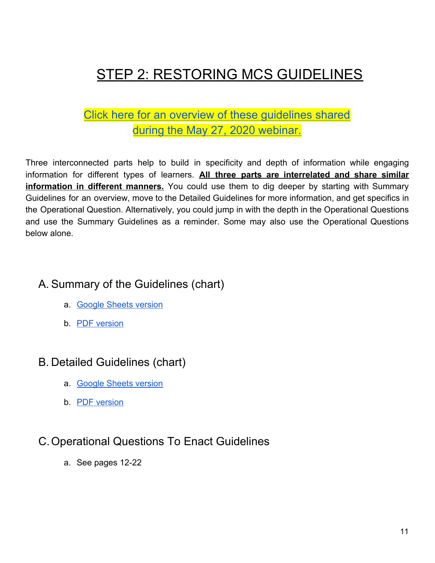# <span id="page-10-0"></span>**STEP 2: RESTORING MCS GUIDELINES**

### Click here for an overview of these [guidelines](https://www.youtube.com/watch?v=3TfG3uOFeDo) shared during the May 27, 2020 [webinar.](https://www.youtube.com/watch?v=3TfG3uOFeDo)

Three interconnected parts help to build in specificity and depth of information while engaging information for different types of learners. **All three parts are interrelated and share similar information in different manners.** You could use them to dig deeper by starting with Summary Guidelines for an overview, move to the Detailed Guidelines for more information, and get specifics in the Operational Question. Alternatively, you could jump in with the depth in the Operational Questions and use the Summary Guidelines as a reminder. Some may also use the Operational Questions below alone.

### <span id="page-10-1"></span>A. Summary of the Guidelines (chart)

- a. [Google Sheets version](https://docs.google.com/spreadsheets/d/1mR49oU-gonZtdfRfrKY-7d420YMlvVp1rg7wvof9zXI/edit#gid=273330539)
- b. [PDF version](https://drive.google.com/file/d/1VR_WAlXHN9y0I7tRSsGqAH5CqACiIcW-/view?usp=sharing)

### <span id="page-10-2"></span>B. Detailed Guidelines (chart)

- a. [Google Sheets version](https://docs.google.com/spreadsheets/d/1mR49oU-gonZtdfRfrKY-7d420YMlvVp1rg7wvof9zXI/edit#gid=673517467)
- b. [PDF version](https://drive.google.com/file/d/1TFUkn5hXORhPVSFEx31PTdE_T76CeGyq/view?usp=sharing)

### C.Operational Questions To Enact Guidelines

a. See pages 12-22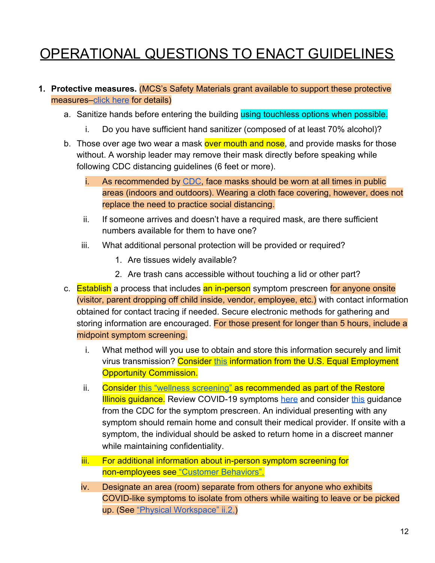# <span id="page-11-0"></span>OPERATIONAL QUESTIONS TO ENACT GUIDELINES

#### <span id="page-11-1"></span>**1. Protective measures.** (MCS's Safety Materials grant available to support these protective measures[–click here](https://docs.google.com/forms/d/e/1FAIpQLSfD-mFN3-BPjy8zsJBAtIEgNE0oVewTpEEr1xax7pmPMNCRTg/viewform) for details)

- a. Sanitize hands before entering the building using touchless options when possible.
	- i. Do you have sufficient hand sanitizer (composed of at least 70% alcohol)?
- b. Those over age two wear a mask over mouth and nose, and provide masks for those without. A worship leader may remove their mask directly before speaking while following CDC distancing guidelines (6 feet or more).
	- i. As recommended by [CDC,](https://www.cdc.gov/coronavirus/2019-ncov/community/guidance-business-response.html) face masks should be worn at all times in public areas (indoors and outdoors). Wearing a cloth face covering, however, does not replace the need to practice social distancing.
	- ii. If someone arrives and doesn't have a required mask, are there sufficient numbers available for them to have one?
	- iii. What additional personal protection will be provided or required?
		- 1. Are tissues widely available?
		- 2. Are trash cans accessible without touching a lid or other part?
- c. Establish a process that includes an in-person symptom prescreen for anyone onsite (visitor, parent dropping off child inside, vendor, employee, etc.) with contact information obtained for contact tracing if needed. Secure electronic methods for gathering and storing information are encouraged. For those present for longer than 5 hours, include a midpoint symptom screening.
	- i. What method will you use to obtain and store this information securely and limit virus transmission? Consider [this](https://www.eeoc.gov/wysk/what-you-should-know-about-covid-19-and-ada-rehabilitation-act-and-other-eeo-laws) information from the U.S. Equal Employment Opportunity Commission.
	- ii. Consider [this "wellness screening"](https://dceocovid19resources.com/assets/Restore-Illinois/checklists3/screening.pdf) as recommended as part of the Restore **Illinois guidance.** Review COVID-19 symptoms [here](https://www.cdc.gov/coronavirus/2019-ncov/symptoms-testing/symptoms.html) and consider [this](https://www.cdc.gov/coronavirus/2019-ncov/community/general-business-faq.html) guidance from the CDC for the symptom prescreen. An individual presenting with any symptom should remain home and consult their medical provider. If onsite with a symptom, the individual should be asked to return home in a discreet manner while maintaining confidentiality.
	- iii. For additional information about in-person symptom screening for non-employees see ["Customer Behaviors".](https://dceocovid19resources.com/assets/Restore-Illinois/businessguidelines3/restaurantbars.pdf)
	- iv. Designate an area (room) separate from others for anyone who exhibits COVID-like symptoms to isolate from others while waiting to leave or be picked up. (See ["Physical Workspace" ii.2.\)](https://dceocovid19resources.com/assets/Restore-Illinois/businessguidelines4/daycamps.pdf)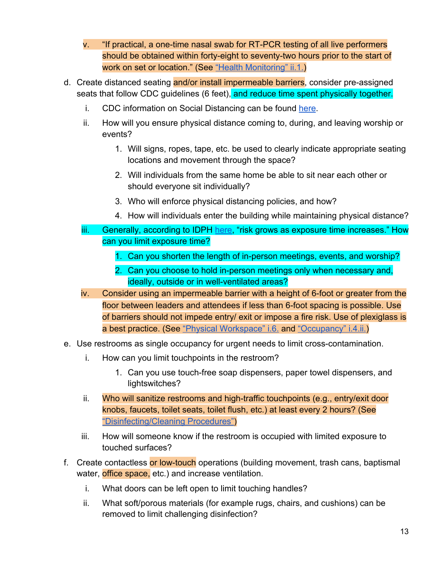- v. "If practical, a one-time nasal swab for RT-PCR testing of all live performers should be obtained within forty-eight to seventy-two hours prior to the start of work on set or location." (See ["Health Monitoring" ii.1.\)](https://dceocovid19resources.com/assets/Restore-Illinois/businessguidelines4/meetings.pdf)
- d. Create distanced seating and/or install impermeable barriers, consider pre-assigned seats that follow CDC guidelines (6 feet), and reduce time spent physically together.
	- i. CDC information on Social Distancing can be found [here.](https://www.cdc.gov/coronavirus/2019-ncov/prevent-getting-sick/social-distancing.html)
	- ii. How will you ensure physical distance coming to, during, and leaving worship or events?
		- 1. Will signs, ropes, tape, etc. be used to clearly indicate appropriate seating locations and movement through the space?
		- 2. Will individuals from the same home be able to sit near each other or should everyone sit individually?
		- 3. Who will enforce physical distancing policies, and how?
		- 4. How will individuals enter the building while maintaining physical distance?
	- iii. Generally, according to IDPH [here,](https://www.dph.illinois.gov/covid19/community-guidance/places-worship-guidance) "risk grows as exposure time increases." How can you limit exposure time?
		- 1. Can you shorten the length of in-person meetings, events, and worship?
		- 2. Can you choose to hold in-person meetings only when necessary and, ideally, outside or in well-ventilated areas?
	- iv. Consider using an impermeable barrier with a height of 6-foot or greater from the floor between leaders and attendees if less than 6-foot spacing is possible. Use of barriers should not impede entry/ exit or impose a fire risk. Use of plexiglass is a best practice. (See ["Physical Workspace" i.6.](https://dceocovid19resources.com/assets/Restore-Illinois/businessguidelines4/theaters.pdf) and ["Occupancy" i.4.ii.](https://dceocovid19resources.com/assets/Restore-Illinois/businessguidelines4/restaurantbars.pdf))
- e. Use restrooms as single occupancy for urgent needs to limit cross-contamination.
	- i. How can you limit touchpoints in the restroom?
		- 1. Can you use touch-free soap dispensers, paper towel dispensers, and lightswitches?
	- ii. Who will sanitize restrooms and high-traffic touchpoints (e.g., entry/exit door knobs, faucets, toilet seats, toilet flush, etc.) at least every 2 hours? (See ["Disinfecting/Cleaning Procedures"](https://dceocovid19resources.com/assets/Restore-Illinois/checklists4/AllChecklists.pdf))
	- iii. How will someone know if the restroom is occupied with limited exposure to touched surfaces?
- f. Create contactless or low-touch operations (building movement, trash cans, baptismal water, office space, etc.) and increase ventilation.
	- i. What doors can be left open to limit touching handles?
	- ii. What soft/porous materials (for example rugs, chairs, and cushions) can be removed to limit challenging disinfection?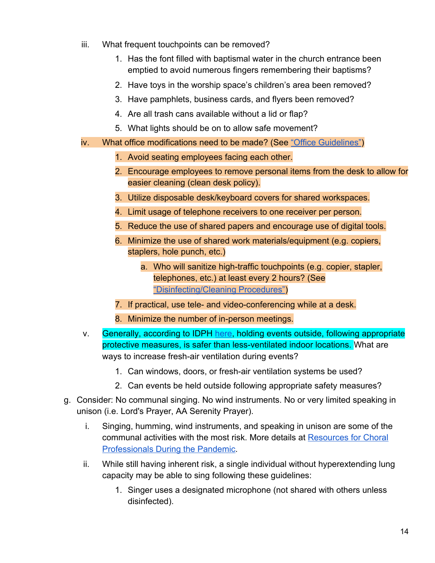- iii. What frequent touchpoints can be removed?
	- 1. Has the font filled with baptismal water in the church entrance been emptied to avoid numerous fingers remembering their baptisms?
	- 2. Have toys in the worship space's children's area been removed?
	- 3. Have pamphlets, business cards, and flyers been removed?
	- 4. Are all trash cans available without a lid or flap?
	- 5. What lights should be on to allow safe movement?
- iv. What office modifications need to be made? (See ["Office Guidelines"](https://dceocovid19resources.com/assets/Restore-Illinois/businessguidelines4/offices.pdf))
	- 1. Avoid seating employees facing each other.
	- 2. Encourage employees to remove personal items from the desk to allow for easier cleaning (clean desk policy).
	- 3. Utilize disposable desk/keyboard covers for shared workspaces.
	- 4. Limit usage of telephone receivers to one receiver per person.
	- 5. Reduce the use of shared papers and encourage use of digital tools.
	- 6. Minimize the use of shared work materials/equipment (e.g. copiers, staplers, hole punch, etc.)
		- a. Who will sanitize high-traffic touchpoints (e.g. copier, stapler, telephones, etc.) at least every 2 hours? (See ["Disinfecting/Cleaning Procedures"](https://dceocovid19resources.com/assets/Restore-Illinois/checklists4/AllChecklists.pdf))
	- 7. If practical, use tele- and video-conferencing while at a desk.
	- 8. Minimize the number of in-person meetings.
- v. Generally, according to IDPH [here,](https://www.dph.illinois.gov/covid19/community-guidance/places-worship-guidance) holding events outside, following appropriate protective measures, is safer than less-ventilated indoor locations. What are ways to increase fresh-air ventilation during events?
	- 1. Can windows, doors, or fresh-air ventilation systems be used?
	- 2. Can events be held outside following appropriate safety measures?
- g. Consider: No communal singing. No wind instruments. No or very limited speaking in unison (i.e. Lord's Prayer, AA Serenity Prayer).
	- i. Singing, humming, wind instruments, and speaking in unison are some of the communal activities with the most risk. More details at [Resources for Choral](https://acda.org/resources-for-choral-professionals-during-a-pandemic/) [Professionals During the Pandemic.](https://acda.org/resources-for-choral-professionals-during-a-pandemic/)
	- ii. While still having inherent risk, a single individual without hyperextending lung capacity may be able to sing following these guidelines:
		- 1. Singer uses a designated microphone (not shared with others unless disinfected).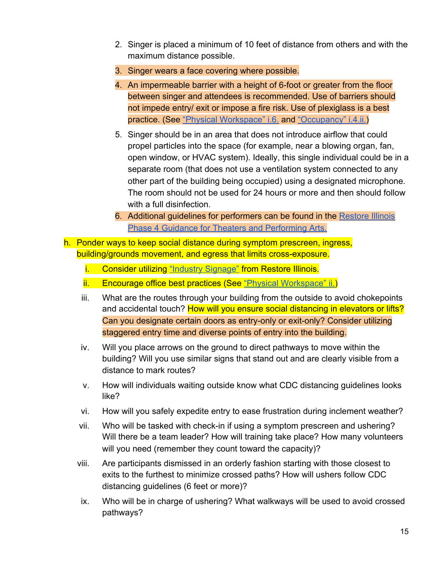- 2. Singer is placed a minimum of 10 feet of distance from others and with the maximum distance possible.
- 3. Singer wears a face covering where possible.
- 4. An impermeable barrier with a height of 6-foot or greater from the floor between singer and attendees is recommended. Use of barriers should not impede entry/ exit or impose a fire risk. Use of plexiglass is a best practice. (See ["Physical Workspace" i.6.](https://dceocovid19resources.com/assets/Restore-Illinois/businessguidelines4/theaters.pdf) and ["Occupancy" i.4.ii.](https://dceocovid19resources.com/assets/Restore-Illinois/businessguidelines4/restaurantbars.pdf))
- 5. Singer should be in an area that does not introduce airflow that could propel particles into the space (for example, near a blowing organ, fan, open window, or HVAC system). Ideally, this single individual could be in a separate room (that does not use a ventilation system connected to any other part of the building being occupied) using a designated microphone. The room should not be used for 24 hours or more and then should follow with a full disinfection.
- 6. Additional guidelines for performers can be found in the [Restore Illinois](https://dceocovid19resources.com/restore-illinois/restore-illinois-phase-4/theaters-and-performing-arts/) [Phase 4 Guidance for Theaters and Performing Arts.](https://dceocovid19resources.com/restore-illinois/restore-illinois-phase-4/theaters-and-performing-arts/)
- h. Ponder ways to keep social distance during symptom prescreen, ingress, building/grounds movement, and egress that limits cross-exposure.
	- i. Consider utilizing ["Industry Signage"](https://dceocovid19resources.com/assets/Restore-Illinois/businesstoolkits/all.pdf) from Restore Illinois.
	- ii. Encourage office best practices (See ["Physical Workspace" ii.\)](https://dceocovid19resources.com/assets/Restore-Illinois/businessguidelines3/offices.pdf)
	- iii. What are the routes through your building from the outside to avoid chokepoints and accidental touch? How will you ensure social distancing in elevators or lifts? Can you designate certain doors as entry-only or exit-only? Consider utilizing staggered entry time and diverse points of entry into the building.
	- iv. Will you place arrows on the ground to direct pathways to move within the building? Will you use similar signs that stand out and are clearly visible from a distance to mark routes?
	- v. How will individuals waiting outside know what CDC distancing guidelines looks like?
	- vi. How will you safely expedite entry to ease frustration during inclement weather?
	- vii. Who will be tasked with check-in if using a symptom prescreen and ushering? Will there be a team leader? How will training take place? How many volunteers will you need (remember they count toward the capacity)?
	- viii. Are participants dismissed in an orderly fashion starting with those closest to exits to the furthest to minimize crossed paths? How will ushers follow CDC distancing guidelines (6 feet or more)?
	- ix. Who will be in charge of ushering? What walkways will be used to avoid crossed pathways?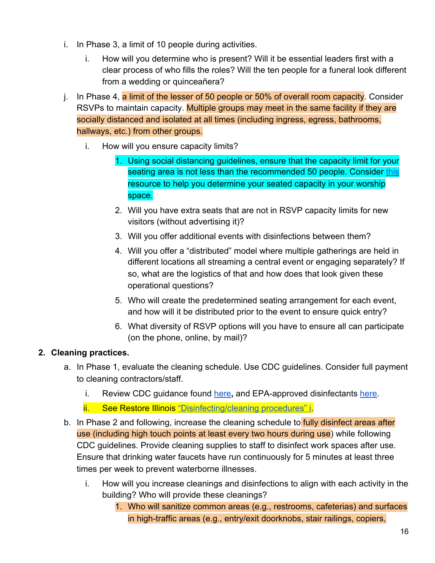- i. In Phase 3, a limit of 10 people during activities.
	- i. How will you determine who is present? Will it be essential leaders first with a clear process of who fills the roles? Will the ten people for a funeral look different from a wedding or quinceañera?
- j. In Phase 4, a limit of the lesser of 50 people or 50% of overall room capacity. Consider RSVPs to maintain capacity. Multiple groups may meet in the same facility if they are socially distanced and isolated at all times (including ingress, egress, bathrooms, hallways, etc.) from other groups.
	- i. How will you ensure capacity limits?
		- 1. Using social distancing guidelines, ensure that the capacity limit for your seating area is not less than the recommended 50 people. Consider [this](https://fwdioc.org/social-distancing-at-mass.pdf) resource to help you determine your seated capacity in your worship space.
		- 2. Will you have extra seats that are not in RSVP capacity limits for new visitors (without advertising it)?
		- 3. Will you offer additional events with disinfections between them?
		- 4. Will you offer a "distributed" model where multiple gatherings are held in different locations all streaming a central event or engaging separately? If so, what are the logistics of that and how does that look given these operational questions?
		- 5. Who will create the predetermined seating arrangement for each event, and how will it be distributed prior to the event to ensure quick entry?
		- 6. What diversity of RSVP options will you have to ensure all can participate (on the phone, online, by mail)?

#### <span id="page-15-0"></span>**2. Cleaning practices.**

- a. In Phase 1, evaluate the cleaning schedule. Use CDC guidelines. Consider full payment to cleaning contractors/staff.
	- i. Review CDC guidance found [here](https://www.cdc.gov/coronavirus/2019-ncov/community/disinfecting-building-facility.html)**,** and EPA-approved disinfectants [here.](https://www.epa.gov/pesticide-registration/list-n-disinfectants-use-against-sars-cov-2)
	- ii. See Restore Illinois ["Disinfecting/cleaning procedures" i](https://dceocovid19resources.com/assets/Restore-Illinois/businessguidelines3/offices.pdf).
- b. In Phase 2 and following, increase the cleaning schedule to **fully disinfect areas after** use (including high touch points at least every two hours during use) while following CDC guidelines. Provide cleaning supplies to staff to disinfect work spaces after use. Ensure that drinking water faucets have run continuously for 5 minutes at least three times per week to prevent waterborne illnesses.
	- i. How will you increase cleanings and disinfections to align with each activity in the building? Who will provide these cleanings?
		- 1. Who will sanitize common areas (e.g., restrooms, cafeterias) and surfaces in high-traffic areas (e.g., entry/exit doorknobs, stair railings, copiers,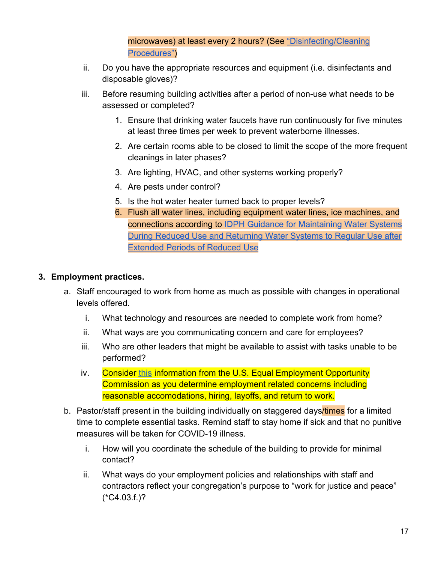microwaves) at least every 2 hours? (See ["Disinfecting/Cleaning](https://dceocovid19resources.com/assets/Restore-Illinois/checklists4/AllChecklists.pdf) [Procedures"](https://dceocovid19resources.com/assets/Restore-Illinois/checklists4/AllChecklists.pdf))

- ii. Do you have the appropriate resources and equipment (i.e. disinfectants and disposable gloves)?
- iii. Before resuming building activities after a period of non-use what needs to be assessed or completed?
	- 1. Ensure that drinking water faucets have run continuously for five minutes at least three times per week to prevent waterborne illnesses.
	- 2. Are certain rooms able to be closed to limit the scope of the more frequent cleanings in later phases?
	- 3. Are lighting, HVAC, and other systems working properly?
	- 4. Are pests under control?
	- 5. Is the hot water heater turned back to proper levels?
	- 6. Flush all water lines, including equipment water lines, ice machines, and connections according to [IDPH Guidance for Maintaining Water Systems](http://www.dph.illinois.gov/sites/default/files/IDPH%20Plumbing%20Program%20General%20Building%20Guidance%20for%20Reopening%205.13.20%20%28002%29.pdf) [During Reduced Use and Returning Water Systems to Regular Use after](http://www.dph.illinois.gov/sites/default/files/IDPH%20Plumbing%20Program%20General%20Building%20Guidance%20for%20Reopening%205.13.20%20%28002%29.pdf) [Extended Periods of Reduced Use](http://www.dph.illinois.gov/sites/default/files/IDPH%20Plumbing%20Program%20General%20Building%20Guidance%20for%20Reopening%205.13.20%20%28002%29.pdf)

#### <span id="page-16-0"></span>**3. Employment practices.**

- a. Staff encouraged to work from home as much as possible with changes in operational levels offered.
	- i. What technology and resources are needed to complete work from home?
	- ii. What ways are you communicating concern and care for employees?
	- iii. Who are other leaders that might be available to assist with tasks unable to be performed?
	- iv. Consider [this](https://www.eeoc.gov/wysk/what-you-should-know-about-covid-19-and-ada-rehabilitation-act-and-other-eeo-laws) information from the U.S. Equal Employment Opportunity Commission as you determine employment related concerns including reasonable accomodations, hiring, layoffs, and return to work.
- b. Pastor/staff present in the building individually on staggered days/times for a limited time to complete essential tasks. Remind staff to stay home if sick and that no punitive measures will be taken for COVID-19 illness.
	- i. How will you coordinate the schedule of the building to provide for minimal contact?
	- ii. What ways do your employment policies and relationships with staff and contractors reflect your congregation's purpose to "work for justice and peace" (\*C4.03.f.)?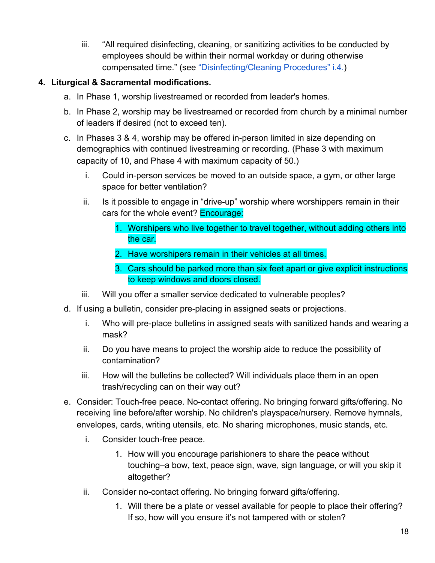iii. "All required disinfecting, cleaning, or sanitizing activities to be conducted by employees should be within their normal workday or during otherwise compensated time." (see ["Disinfecting/Cleaning Procedures" i.4.](https://dceocovid19resources.com/assets/Restore-Illinois/businessguidelines4/offices.pdf))

#### <span id="page-17-0"></span>**4. Liturgical & Sacramental modifications.**

- a. In Phase 1, worship livestreamed or recorded from leader's homes.
- b. In Phase 2, worship may be livestreamed or recorded from church by a minimal number of leaders if desired (not to exceed ten).
- c. In Phases 3 & 4, worship may be offered in-person limited in size depending on demographics with continued livestreaming or recording. (Phase 3 with maximum capacity of 10, and Phase 4 with maximum capacity of 50.)
	- i. Could in-person services be moved to an outside space, a gym, or other large space for better ventilation?
	- ii. Is it possible to engage in "drive-up" worship where worshippers remain in their cars for the whole event? **Encourage:** 
		- 1. Worshipers who live together to travel together, without adding others into the car.
		- 2. Have worshipers remain in their vehicles at all times.
		- 3. Cars should be parked more than six feet apart or give explicit instructions to keep windows and doors closed.
	- iii. Will you offer a smaller service dedicated to vulnerable peoples?
- d. If using a bulletin, consider pre-placing in assigned seats or projections.
	- i. Who will pre-place bulletins in assigned seats with sanitized hands and wearing a mask?
	- ii. Do you have means to project the worship aide to reduce the possibility of contamination?
	- iii. How will the bulletins be collected? Will individuals place them in an open trash/recycling can on their way out?
- e. Consider: Touch-free peace. No-contact offering. No bringing forward gifts/offering. No receiving line before/after worship. No children's playspace/nursery. Remove hymnals, envelopes, cards, writing utensils, etc. No sharing microphones, music stands, etc.
	- i. Consider touch-free peace.
		- 1. How will you encourage parishioners to share the peace without touching–a bow, text, peace sign, wave, sign language, or will you skip it altogether?
	- ii. Consider no-contact offering. No bringing forward gifts/offering.
		- 1. Will there be a plate or vessel available for people to place their offering? If so, how will you ensure it's not tampered with or stolen?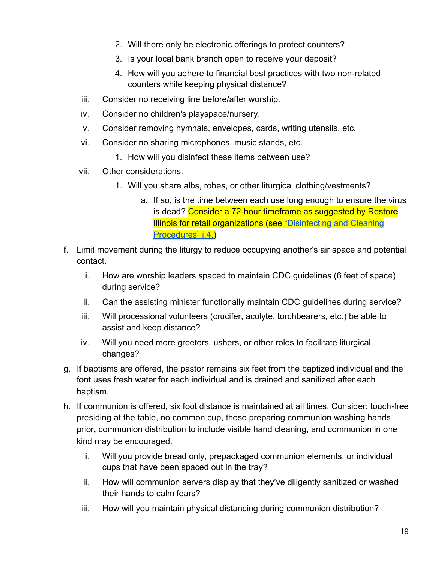- 2. Will there only be electronic offerings to protect counters?
- 3. Is your local bank branch open to receive your deposit?
- 4. How will you adhere to financial best practices with two non-related counters while keeping physical distance?
- iii. Consider no receiving line before/after worship.
- iv. Consider no children's playspace/nursery.
- v. Consider removing hymnals, envelopes, cards, writing utensils, etc.
- vi. Consider no sharing microphones, music stands, etc.
	- 1. How will you disinfect these items between use?
- vii. Other considerations.
	- 1. Will you share albs, robes, or other liturgical clothing/vestments?
		- a. If so, is the time between each use long enough to ensure the virus is dead? Consider a 72-hour timeframe as suggested by Restore Illinois for retail organizations (see ["Disinfecting and Cleaning](https://dceocovid19resources.com/assets/Restore-Illinois/businessguidelines3/retail.pdf) [Procedures" i.4.\)](https://dceocovid19resources.com/assets/Restore-Illinois/businessguidelines3/retail.pdf)
- f. Limit movement during the liturgy to reduce occupying another's air space and potential contact.
	- i. How are worship leaders spaced to maintain CDC guidelines (6 feet of space) during service?
	- ii. Can the assisting minister functionally maintain CDC guidelines during service?
	- iii. Will processional volunteers (crucifer, acolyte, torchbearers, etc.) be able to assist and keep distance?
	- iv. Will you need more greeters, ushers, or other roles to facilitate liturgical changes?
- g. If baptisms are offered, the pastor remains six feet from the baptized individual and the font uses fresh water for each individual and is drained and sanitized after each baptism.
- h. If communion is offered, six foot distance is maintained at all times. Consider: touch-free presiding at the table, no common cup, those preparing communion washing hands prior, communion distribution to include visible hand cleaning, and communion in one kind may be encouraged.
	- i. Will you provide bread only, prepackaged communion elements, or individual cups that have been spaced out in the tray?
	- ii. How will communion servers display that they've diligently sanitized or washed their hands to calm fears?
	- iii. How will you maintain physical distancing during communion distribution?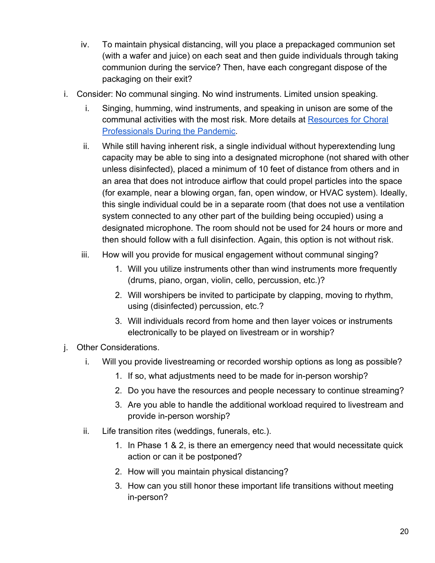- iv. To maintain physical distancing, will you place a prepackaged communion set (with a wafer and juice) on each seat and then guide individuals through taking communion during the service? Then, have each congregant dispose of the packaging on their exit?
- i. Consider: No communal singing. No wind instruments. Limited unsion speaking.
	- i. Singing, humming, wind instruments, and speaking in unison are some of the communal activities with the most risk. More details at [Resources for Choral](https://acda.org/resources-for-choral-professionals-during-a-pandemic/) [Professionals During the Pandemic.](https://acda.org/resources-for-choral-professionals-during-a-pandemic/)
	- ii. While still having inherent risk, a single individual without hyperextending lung capacity may be able to sing into a designated microphone (not shared with other unless disinfected), placed a minimum of 10 feet of distance from others and in an area that does not introduce airflow that could propel particles into the space (for example, near a blowing organ, fan, open window, or HVAC system). Ideally, this single individual could be in a separate room (that does not use a ventilation system connected to any other part of the building being occupied) using a designated microphone. The room should not be used for 24 hours or more and then should follow with a full disinfection. Again, this option is not without risk.
	- iii. How will you provide for musical engagement without communal singing?
		- 1. Will you utilize instruments other than wind instruments more frequently (drums, piano, organ, violin, cello, percussion, etc.)?
		- 2. Will worshipers be invited to participate by clapping, moving to rhythm, using (disinfected) percussion, etc.?
		- 3. Will individuals record from home and then layer voices or instruments electronically to be played on livestream or in worship?
- j. Other Considerations.
	- i. Will you provide livestreaming or recorded worship options as long as possible?
		- 1. If so, what adjustments need to be made for in-person worship?
		- 2. Do you have the resources and people necessary to continue streaming?
		- 3. Are you able to handle the additional workload required to livestream and provide in-person worship?
	- ii. Life transition rites (weddings, funerals, etc.).
		- 1. In Phase 1 & 2, is there an emergency need that would necessitate quick action or can it be postponed?
		- 2. How will you maintain physical distancing?
		- 3. How can you still honor these important life transitions without meeting in-person?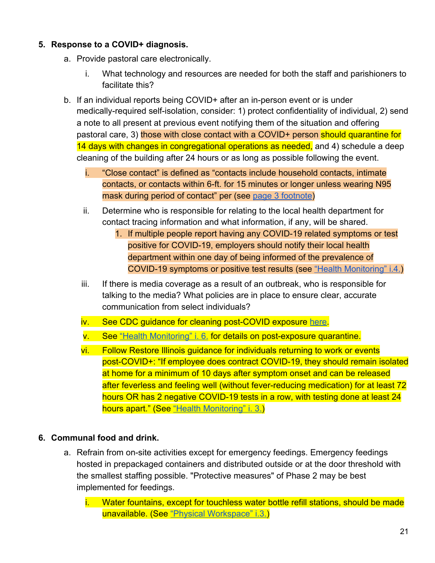#### <span id="page-20-0"></span>**5. Response to a COVID+ diagnosis.**

- a. Provide pastoral care electronically.
	- i. What technology and resources are needed for both the staff and parishioners to facilitate this?
- b. If an individual reports being COVID+ after an in-person event or is under medically-required self-isolation, consider: 1) protect confidentiality of individual, 2) send a note to all present at previous event notifying them of the situation and offering pastoral care, 3) those with close contact with a COVID+ person should quarantine for 14 days with changes in congregational operations as needed, and 4) schedule a deep cleaning of the building after 24 hours or as long as possible following the event.
	- i. "Close contact" is defined as "contacts include household contacts, intimate contacts, or contacts within 6-ft. for 15 minutes or longer unless wearing N95 mask during period of contact" per (see [page 3 footnote\)](https://dceocovid19resources.com/assets/Restore-Illinois/businessguidelines4/meetings.pdf)
	- ii. Determine who is responsible for relating to the local health department for contact tracing information and what information, if any, will be shared.
		- 1. If multiple people report having any COVID-19 related symptoms or test positive for COVID-19, employers should notify their local health department within one day of being informed of the prevalence of COVID-19 symptoms or positive test results (see ["Health Monitoring" i.4.](https://dceocovid19resources.com/assets/Restore-Illinois/businessguidelines4/meetings.pdf))
	- iii. If there is media coverage as a result of an outbreak, who is responsible for talking to the media? What policies are in place to ensure clear, accurate communication from select individuals?
	- iv. See CDC guidance for cleaning post-COVID exposure [here](https://www.cdc.gov/coronavirus/2019-ncov/community/disinfecting-building-facility.html).
	- v. See ["Health Monitoring" i. 6.](https://dceocovid19resources.com/assets/Restore-Illinois/businessguidelines3/offices.pdf) for details on post-exposure quarantine.
	- vi. Follow Restore Illinois guidance for individuals returning to work or events post-COVID+: "If employee does contract COVID-19, they should remain isolated at home for a minimum of 10 days after symptom onset and can be released after feverless and feeling well (without fever-reducing medication) for at least 72 hours OR has 2 negative COVID-19 tests in a row, with testing done at least 24 hours apart." (See ["Health Monitoring" i. 3.\)](https://dceocovid19resources.com/assets/Restore-Illinois/businessguidelines3/offices.pdf)

#### <span id="page-20-1"></span>**6. Communal food and drink.**

- a. Refrain from on-site activities except for emergency feedings. Emergency feedings hosted in prepackaged containers and distributed outside or at the door threshold with the smallest staffing possible. "Protective measures" of Phase 2 may be best implemented for feedings.
	- i. Water fountains, except for touchless water bottle refill stations, should be made unavailable. (See ["Physical Workspace" i.3.\)](https://dceocovid19resources.com/assets/Restore-Illinois/businessguidelines3/offices.pdf)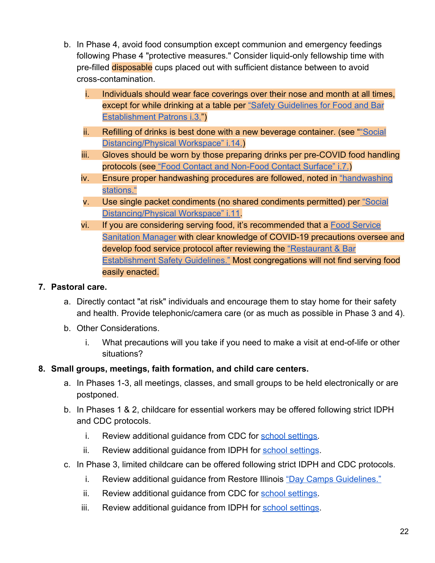- b. In Phase 4, avoid food consumption except communion and emergency feedings following Phase 4 "protective measures." Consider liquid-only fellowship time with pre-filled disposable cups placed out with sufficient distance between to avoid cross-contamination.
	- Individuals should wear face coverings over their nose and month at all times, except for while drinking at a table per ["Safety Guidelines for Food and Bar](https://dceocovid19resources.com/assets/Restore-Illinois/businessguidelines4/restaurantbars.pdf) [Establishment Patrons i.3."](https://dceocovid19resources.com/assets/Restore-Illinois/businessguidelines4/restaurantbars.pdf))
	- ii. Refilling of drinks is best done with a new beverage container. (see "["Social](https://dceocovid19resources.com/assets/Restore-Illinois/businessguidelines4/restaurantbars.pdf) [Distancing/Physical Workspace" i.14.](https://dceocovid19resources.com/assets/Restore-Illinois/businessguidelines4/restaurantbars.pdf))
	- iii. Gloves should be worn by those preparing drinks per pre-COVID food handling protocols (se[e "Food Contact and Non-Food Contact Surface" i.7.](https://dceocovid19resources.com/assets/Restore-Illinois/businessguidelines4/restaurantbars.pdf))
	- iv. Ensure proper handwashing procedures are followed, noted in ["handwashing](https://dceocovid19resources.com/assets/Restore-Illinois/businessguidelines4/restaurantbars.pdf) [stations."](https://dceocovid19resources.com/assets/Restore-Illinois/businessguidelines4/restaurantbars.pdf)
	- v. Use single packet condiments (no shared condiments permitted) per ["Social](https://dceocovid19resources.com/assets/Restore-Illinois/businessguidelines4/restaurantbars.pdf) [Distancing/Physical Workspace" i.11](https://dceocovid19resources.com/assets/Restore-Illinois/businessguidelines4/restaurantbars.pdf)
	- vi. If you are considering serving food, it's recommended that a [Food Service](https://www2.illinois.gov/services/IDPH/food-service-sanitation) [Sanitation Manager](https://www2.illinois.gov/services/IDPH/food-service-sanitation) with clear knowledge of COVID-19 precautions oversee and develop food service protocol after reviewing the ["Restaurant & Bar](https://dceocovid19resources.com/assets/Restore-Illinois/businessguidelines4/restaurantbars.pdf) [Establishment Safety Guidelines."](https://dceocovid19resources.com/assets/Restore-Illinois/businessguidelines4/restaurantbars.pdf) Most congregations will not find serving food easily enacted.

#### <span id="page-21-0"></span>**7. Pastoral care.**

- a. Directly contact "at risk" individuals and encourage them to stay home for their safety and health. Provide telephonic/camera care (or as much as possible in Phase 3 and 4).
- b. Other Considerations.
	- i. What precautions will you take if you need to make a visit at end-of-life or other situations?

#### <span id="page-21-1"></span>**8. Small groups, meetings, faith formation, and child care centers.**

- a. In Phases 1-3, all meetings, classes, and small groups to be held electronically or are postponed.
- b. In Phases 1 & 2, childcare for essential workers may be offered following strict IDPH and CDC protocols.
	- i. Review additional guidance from CDC for [school settings.](https://www.cdc.gov/coronavirus/2019-ncov/community/schools-childcare/index.html)
	- ii. Review additional guidance from IDPH for [school settings](https://www.cdc.gov/coronavirus/2019-ncov/community/schools-childcare/index.html).
- c. In Phase 3, limited childcare can be offered following strict IDPH and CDC protocols.
	- i. Review additional guidance from Restore Illinois ["Day Camps Guidelines."](https://dceocovid19resources.com/assets/Restore-Illinois/businessguidelines3/summerprograms.pdf)
	- ii. Review additional guidance from CDC for [school settings.](https://www.cdc.gov/coronavirus/2019-ncov/community/schools-childcare/index.html)
	- iii. Review additional guidance from IDPH for [school settings](https://www.cdc.gov/coronavirus/2019-ncov/community/schools-childcare/index.html).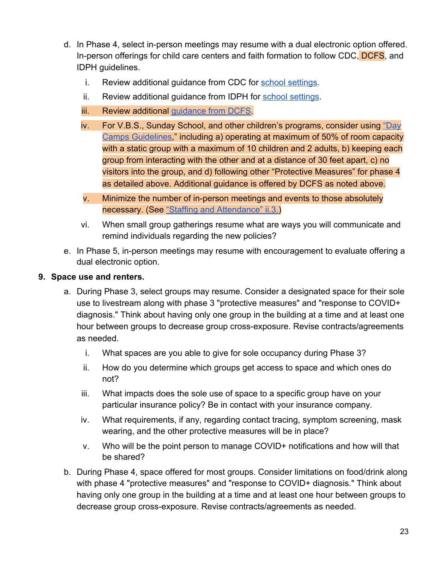- d. In Phase 4, select in-person meetings may resume with a dual electronic option offered. In-person offerings for child care centers and faith formation to follow CDC, DCFS, and IDPH guidelines.
	- i. Review additional guidance from CDC for [school settings.](https://www.cdc.gov/coronavirus/2019-ncov/community/schools-childcare/index.html)
	- ii. Review additional guidance from IDPH for [school settings](https://www.cdc.gov/coronavirus/2019-ncov/community/schools-childcare/index.html).
	- iii. Review additional [guidance from DCFS](https://www2.illinois.gov/dcfs/Documents/Day_Care_Guidance.pdf).
	- iv. For V.B.S., Sunday School, and other children's programs, consider using ["Day](https://dceocovid19resources.com/restore-illinois/restore-illinois-phase-4/day-camps/) [Camps Guidelines](https://dceocovid19resources.com/restore-illinois/restore-illinois-phase-4/day-camps/)," including a) operating at maximum of 50% of room capacity with a static group with a maximum of 10 children and 2 adults, b) keeping each group from interacting with the other and at a distance of 30 feet apart, c) no visitors into the group, and d) following other "Protective Measures" for phase 4 as detailed above. Additional guidance is offered by DCFS as noted above.
	- v. Minimize the number of in-person meetings and events to those absolutely necessary. (See ["Staffing and Attendance" ii.3.](https://dceocovid19resources.com/assets/Restore-Illinois/businessguidelines4/offices.pdf))
	- vi. When small group gatherings resume what are ways you will communicate and remind individuals regarding the new policies?
- e. In Phase 5, in-person meetings may resume with encouragement to evaluate offering a dual electronic option.

#### <span id="page-22-0"></span>**9. Space use and renters.**

- a. During Phase 3, select groups may resume. Consider a designated space for their sole use to livestream along with phase 3 "protective measures" and "response to COVID+ diagnosis." Think about having only one group in the building at a time and at least one hour between groups to decrease group cross-exposure. Revise contracts/agreements as needed.
	- i. What spaces are you able to give for sole occupancy during Phase 3?
	- ii. How do you determine which groups get access to space and which ones do not?
	- iii. What impacts does the sole use of space to a specific group have on your particular insurance policy? Be in contact with your insurance company.
	- iv. What requirements, if any, regarding contact tracing, symptom screening, mask wearing, and the other protective measures will be in place?
	- v. Who will be the point person to manage COVID+ notifications and how will that be shared?
- b. During Phase 4, space offered for most groups. Consider limitations on food/drink along with phase 4 "protective measures" and "response to COVID+ diagnosis." Think about having only one group in the building at a time and at least one hour between groups to decrease group cross-exposure. Revise contracts/agreements as needed.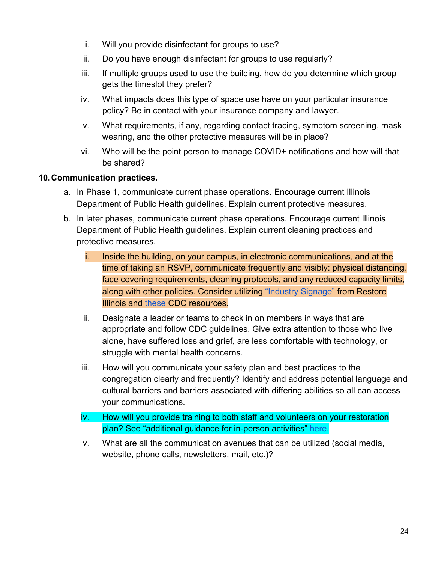- i. Will you provide disinfectant for groups to use?
- ii. Do you have enough disinfectant for groups to use regularly?
- iii. If multiple groups used to use the building, how do you determine which group gets the timeslot they prefer?
- iv. What impacts does this type of space use have on your particular insurance policy? Be in contact with your insurance company and lawyer.
- v. What requirements, if any, regarding contact tracing, symptom screening, mask wearing, and the other protective measures will be in place?
- vi. Who will be the point person to manage COVID+ notifications and how will that be shared?

#### <span id="page-23-0"></span>**10.Communication practices.**

- a. In Phase 1, communicate current phase operations. Encourage current Illinois Department of Public Health guidelines. Explain current protective measures.
- b. In later phases, communicate current phase operations. Encourage current Illinois Department of Public Health guidelines. Explain current cleaning practices and protective measures.
	- i. Inside the building, on your campus, in electronic communications, and at the time of taking an RSVP, communicate frequently and visibly: physical distancing, face covering requirements, cleaning protocols, and any reduced capacity limits, along with other policies. Consider utilizing ["Industry Signage"](http://dceocovid19resources.com/restore-illinois/restore-illinois-phase-4/) from Restore Illinois and [these](https://www.cdc.gov/coronavirus/2019-ncov/communication/print-resources.html?Sort=Date%3A%3Adesc&Audience=Community%20Settings) CDC resources.
	- ii. Designate a leader or teams to check in on members in ways that are appropriate and follow CDC guidelines. Give extra attention to those who live alone, have suffered loss and grief, are less comfortable with technology, or struggle with mental health concerns.
	- iii. How will you communicate your safety plan and best practices to the congregation clearly and frequently? Identify and address potential language and cultural barriers and barriers associated with differing abilities so all can access your communications.
	- iv. How will you provide training to both staff and volunteers on your restoration plan? See "additional guidance for in-person activities" [here](https://www.dph.illinois.gov/covid19/community-guidance/places-worship-guidance).
	- v. What are all the communication avenues that can be utilized (social media, website, phone calls, newsletters, mail, etc.)?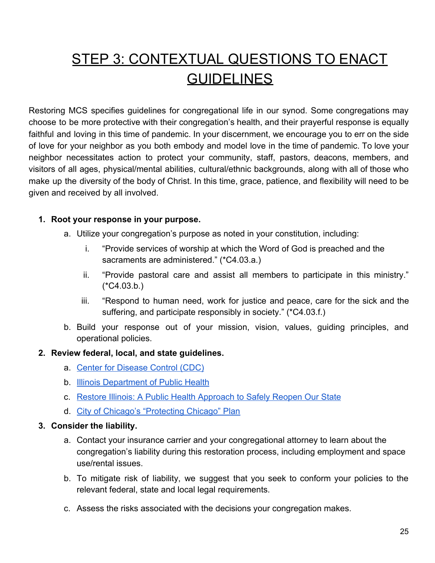# <span id="page-24-0"></span>STEP 3: CONTEXTUAL QUESTIONS TO ENACT GUIDELINES

Restoring MCS specifies guidelines for congregational life in our synod. Some congregations may choose to be more protective with their congregation's health, and their prayerful response is equally faithful and loving in this time of pandemic. In your discernment, we encourage you to err on the side of love for your neighbor as you both embody and model love in the time of pandemic. To love your neighbor necessitates action to protect your community, staff, pastors, deacons, members, and visitors of all ages, physical/mental abilities, cultural/ethnic backgrounds, along with all of those who make up the diversity of the body of Christ. In this time, grace, patience, and flexibility will need to be given and received by all involved.

#### <span id="page-24-1"></span>**1. Root your response in your purpose.**

- a. Utilize your congregation's purpose as noted in your constitution, including:
	- i. "Provide services of worship at which the Word of God is preached and the sacraments are administered." (\*C4.03.a.)
	- ii. "Provide pastoral care and assist all members to participate in this ministry."  $(*C4.03.b.)$
	- iii. "Respond to human need, work for justice and peace, care for the sick and the suffering, and participate responsibly in society." (\*C4.03.f.)
- b. Build your response out of your mission, vision, values, guiding principles, and operational policies.

#### <span id="page-24-2"></span>**2. Review federal, local, and state guidelines.**

- a. [Center for Disease Control \(CDC\)](https://www.cdc.gov/coronavirus/2019-ncov/community/organizations/index.html)
- **b.** [Illinois Department of Public Health](https://www.dph.illinois.gov/covid19/community-guidance/faith-based-guidance)
- c. [Restore Illinois: A Public Health Approach to Safely Reopen Our State](https://www.dph.illinois.gov/restore)
- d. [City of Chicago's "Protecting Chicago" Plan](https://www.chicago.gov/city/en/sites/covid-19/home.html)

#### <span id="page-24-3"></span>**3. Consider the liability.**

- a. Contact your insurance carrier and your congregational attorney to learn about the congregation's liability during this restoration process, including employment and space use/rental issues.
- b. To mitigate risk of liability, we suggest that you seek to conform your policies to the relevant federal, state and local legal requirements.
- c. Assess the risks associated with the decisions your congregation makes.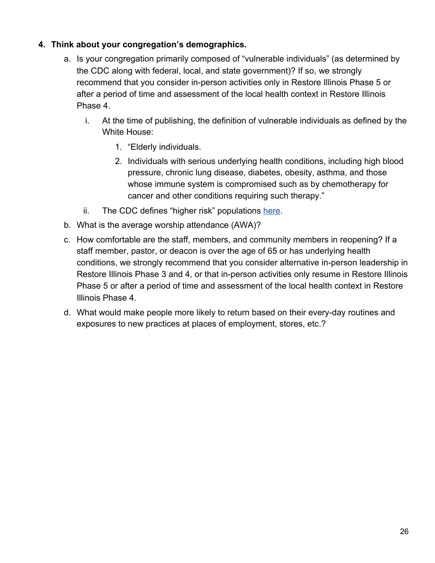#### <span id="page-25-0"></span>**4. Think about your congregation's demographics.**

- a. Is your congregation primarily composed of "vulnerable individuals" (as determined by the CDC along with federal, local, and state government)? If so, we strongly recommend that you consider in-person activities only in Restore Illinois Phase 5 or after a period of time and assessment of the local health context in Restore Illinois Phase 4.
	- i. At the time of publishing, the definition of vulnerable individuals as defined by the White House:
		- 1. "Elderly individuals.
		- 2. Individuals with serious underlying health conditions, including high blood pressure, chronic lung disease, diabetes, obesity, asthma, and those whose immune system is compromised such as by chemotherapy for cancer and other conditions requiring such therapy."
	- ii. The CDC defines "higher risk" populations [here](https://www.cdc.gov/coronavirus/2019-ncov/need-extra-precautions/people-at-higher-risk.html).
- b. What is the average worship attendance (AWA)?
- c. How comfortable are the staff, members, and community members in reopening? If a staff member, pastor, or deacon is over the age of 65 or has underlying health conditions, we strongly recommend that you consider alternative in-person leadership in Restore Illinois Phase 3 and 4, or that in-person activities only resume in Restore Illinois Phase 5 or after a period of time and assessment of the local health context in Restore Illinois Phase 4.
- d. What would make people more likely to return based on their every-day routines and exposures to new practices at places of employment, stores, etc.?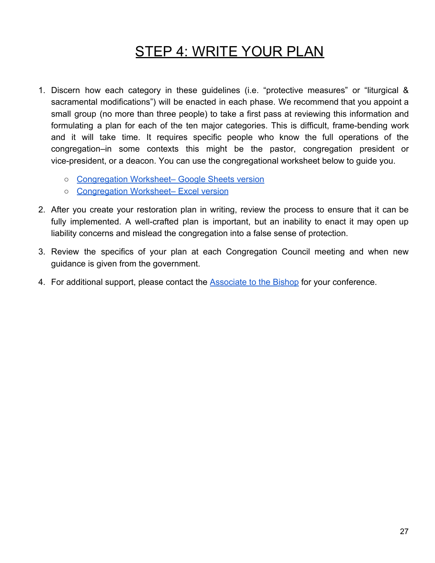### **STEP 4: WRITE YOUR PLAN**

- <span id="page-26-0"></span>1. Discern how each category in these guidelines (i.e. "protective measures" or "liturgical & sacramental modifications") will be enacted in each phase. We recommend that you appoint a small group (no more than three people) to take a first pass at reviewing this information and formulating a plan for each of the ten major categories. This is difficult, frame-bending work and it will take time. It requires specific people who know the full operations of the congregation–in some contexts this might be the pastor, congregation president or vice-president, or a deacon. You can use the congregational worksheet below to guide you.
	- [Congregation Worksheet– Google Sheets version](https://docs.google.com/spreadsheets/d/1mR49oU-gonZtdfRfrKY-7d420YMlvVp1rg7wvof9zXI/edit#gid=1330642375)
	- [Congregation Worksheet– Excel version](https://drive.google.com/file/d/11nMEXOuV6u2mpEfxCTGBDVVETJN8QgC8/view)
- 2. After you create your restoration plan in writing, review the process to ensure that it can be fully implemented. A well-crafted plan is important, but an inability to enact it may open up liability concerns and mislead the congregation into a false sense of protection.
- 3. Review the specifics of your plan at each Congregation Council meeting and when new guidance is given from the government.
- 4. For additional support, please contact the [Associate to the Bishop](http://www.mcselca.org/who/staff/index.php) for your conference.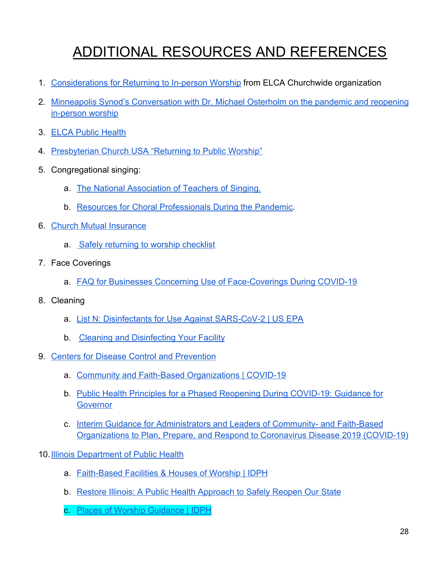# ADDITIONAL RESOURCES AND REFERENCES

- <span id="page-27-0"></span>1. [Considerations for Returning to In-person Worship](https://download.elca.org/ELCA%20Resource%20Repository/Returning_to_In-person_Worship.pdf?_ga=2.227742621.1239640636.1590000367-1491195128.1571427587&_gac=1.245549616.1587147246.EAIaIQobChMI-fnvm4jw6AIVPyqzAB2O5AEBEAAYASAAEgL5J_D_BwE) from ELCA Churchwide organization
- 2. [Minneapolis Synod's Conversation with Dr. Michael Osterholm on the pandemic and reopening](https://us02web.zoom.us/rec/play/6Z0ucrr-_z43TtDG4QSDA_EqW466f6is2yVL-vALmky9U3BQO1DwY7pDYetnC86r_1FTMzLcRO-xQs63?continueMode=true&_x_zm_rtaid=t3RthqdhQEOzvXalJL9DMQ.1588948015952.0627d815a6c55f1376a47a2a9d5ddb84&_x_zm_rhtaid=45) [in-person worship](https://us02web.zoom.us/rec/play/6Z0ucrr-_z43TtDG4QSDA_EqW466f6is2yVL-vALmky9U3BQO1DwY7pDYetnC86r_1FTMzLcRO-xQs63?continueMode=true&_x_zm_rtaid=t3RthqdhQEOzvXalJL9DMQ.1588948015952.0627d815a6c55f1376a47a2a9d5ddb84&_x_zm_rhtaid=45)
- 3. [ELCA Public Health](http://elca.org/PublicHealth)
- 4. [Presbyterian Church USA "Returning to Public Worship"](https://www.pcusa.org/site_media/media/uploads/covid-19/returning_to_public_worship_may_2020.pdf)
- 5. Congregational singing:
	- a. [The National Association of Teachers of Singing.](https://www.nats.org/)
	- b. [Resources for Choral Professionals During the Pandemic](https://acda.org/resources-for-choral-professionals-during-a-pandemic/).
- 6. [Church Mutual Insurance](https://coronavirus.churchmutual.com/resource/safely-returning-to-worship/)
	- a. [Safely returning to worship checklist](https://p.widencdn.net/r87ip0/CM0308-2020-05-RC-Recommendations-for-a-Safe-Return-to-Worship)
- 7. Face Coverings
	- a. [FAQ for Businesses Concerning Use of Face-Coverings During COVID-19](https://www2.illinois.gov/dhr/Documents/IDHR_FAQ_for_Businesses_Concerning_Use_of_Face-Coverings_During_COVID-19_Ver_2020511b%20copy.pdf)
- 8. Cleaning
	- a. [List N: Disinfectants for Use Against SARS-CoV-2 | US EPA](https://www.epa.gov/pesticide-registration/list-n-disinfectants-use-against-sars-cov-2)
	- b. [Cleaning and Disinfecting Your Facility](https://www.cdc.gov/coronavirus/2019-ncov/community/disinfecting-building-facility.html)
- 9. [Centers for Disease Control and Prevention](https://www.cdc.gov/coronavirus/2019-ncov/)
	- a. [Community and Faith-Based Organizations | COVID-19](https://www.cdc.gov/coronavirus/2019-ncov/community/organizations/index.html)
	- b. [Public Health Principles for a Phased Reopening During COVID-19: Guidance for](https://www.centerforhealthsecurity.org/our-%20work/pubs_archive/pubs-pdfs/2020/200417-reopening-guidance-governors.pdf) **[Governor](https://www.centerforhealthsecurity.org/our-%20work/pubs_archive/pubs-pdfs/2020/200417-reopening-guidance-governors.pdf)**
	- c. [Interim Guidance for Administrators and Leaders of Community- and Faith-Based](https://www.cdc.gov/coronavirus/2019-ncov/community/organizations/guidance-community-faith-organizations.html) [Organizations to Plan, Prepare, and Respond to Coronavirus Disease 2019 \(COVID-19\)](https://www.cdc.gov/coronavirus/2019-ncov/community/organizations/guidance-community-faith-organizations.html)
- 10. [Illinois Department of Public Health](https://www.dph.illinois.gov/topics-services/diseases-and-conditions/diseases-a-z-list/coronavirus)
	- a. [Faith-Based Facilities & Houses of Worship | IDPH](https://www.dph.illinois.gov/covid19/community-guidance/faith-based-guidance)
	- b. [Restore Illinois: A Public Health Approach to Safely Reopen Our State](https://www.dph.illinois.gov/restore)
	- c. [Places of Worship Guidance | IDPH](https://www.dph.illinois.gov/covid19/community-guidance/places-worship-guidance)